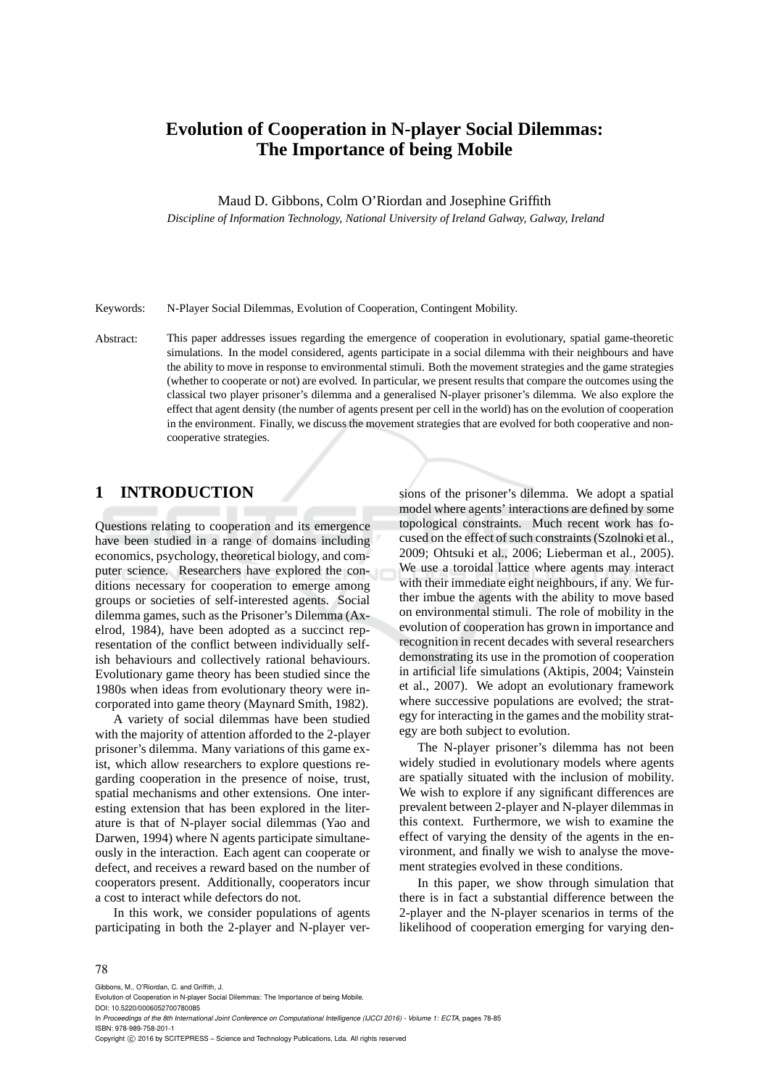# **Evolution of Cooperation in N-player Social Dilemmas: The Importance of being Mobile**

Maud D. Gibbons, Colm O'Riordan and Josephine Griffith

*Discipline of Information Technology, National University of Ireland Galway, Galway, Ireland*

Keywords: N-Player Social Dilemmas, Evolution of Cooperation, Contingent Mobility.

Abstract: This paper addresses issues regarding the emergence of cooperation in evolutionary, spatial game-theoretic simulations. In the model considered, agents participate in a social dilemma with their neighbours and have the ability to move in response to environmental stimuli. Both the movement strategies and the game strategies (whether to cooperate or not) are evolved. In particular, we present results that compare the outcomes using the classical two player prisoner's dilemma and a generalised N-player prisoner's dilemma. We also explore the effect that agent density (the number of agents present per cell in the world) has on the evolution of cooperation in the environment. Finally, we discuss the movement strategies that are evolved for both cooperative and noncooperative strategies.

## **1 INTRODUCTION**

Questions relating to cooperation and its emergence have been studied in a range of domains including economics, psychology, theoretical biology, and computer science. Researchers have explored the conditions necessary for cooperation to emerge among groups or societies of self-interested agents. Social dilemma games, such as the Prisoner's Dilemma (Axelrod, 1984), have been adopted as a succinct representation of the conflict between individually selfish behaviours and collectively rational behaviours. Evolutionary game theory has been studied since the 1980s when ideas from evolutionary theory were incorporated into game theory (Maynard Smith, 1982).

A variety of social dilemmas have been studied with the majority of attention afforded to the 2-player prisoner's dilemma. Many variations of this game exist, which allow researchers to explore questions regarding cooperation in the presence of noise, trust, spatial mechanisms and other extensions. One interesting extension that has been explored in the literature is that of N-player social dilemmas (Yao and Darwen, 1994) where N agents participate simultaneously in the interaction. Each agent can cooperate or defect, and receives a reward based on the number of cooperators present. Additionally, cooperators incur a cost to interact while defectors do not.

In this work, we consider populations of agents participating in both the 2-player and N-player ver-

sions of the prisoner's dilemma. We adopt a spatial model where agents' interactions are defined by some topological constraints. Much recent work has focused on the effect of such constraints (Szolnoki et al., 2009; Ohtsuki et al., 2006; Lieberman et al., 2005). We use a toroidal lattice where agents may interact with their immediate eight neighbours, if any. We further imbue the agents with the ability to move based on environmental stimuli. The role of mobility in the evolution of cooperation has grown in importance and recognition in recent decades with several researchers demonstrating its use in the promotion of cooperation in artificial life simulations (Aktipis, 2004; Vainstein et al., 2007). We adopt an evolutionary framework where successive populations are evolved; the strategy for interacting in the games and the mobility strategy are both subject to evolution.

The N-player prisoner's dilemma has not been widely studied in evolutionary models where agents are spatially situated with the inclusion of mobility. We wish to explore if any significant differences are prevalent between 2-player and N-player dilemmas in this context. Furthermore, we wish to examine the effect of varying the density of the agents in the environment, and finally we wish to analyse the movement strategies evolved in these conditions.

In this paper, we show through simulation that there is in fact a substantial difference between the 2-player and the N-player scenarios in terms of the likelihood of cooperation emerging for varying den-

#### 78

Gibbons, M., O'Riordan, C. and Griffith, J.

DOI: 10.5220/0006052700780085

In *Proceedings of the 8th International Joint Conference on Computational Intelligence (IJCCI 2016) - Volume 1: ECTA*, pages 78-85 ISBN: 978-989-758-201-1

Copyright © 2016 by SCITEPRESS - Science and Technology Publications, Lda. All rights reserved

Evolution of Cooperation in N-player Social Dilemmas: The Importance of being Mobile.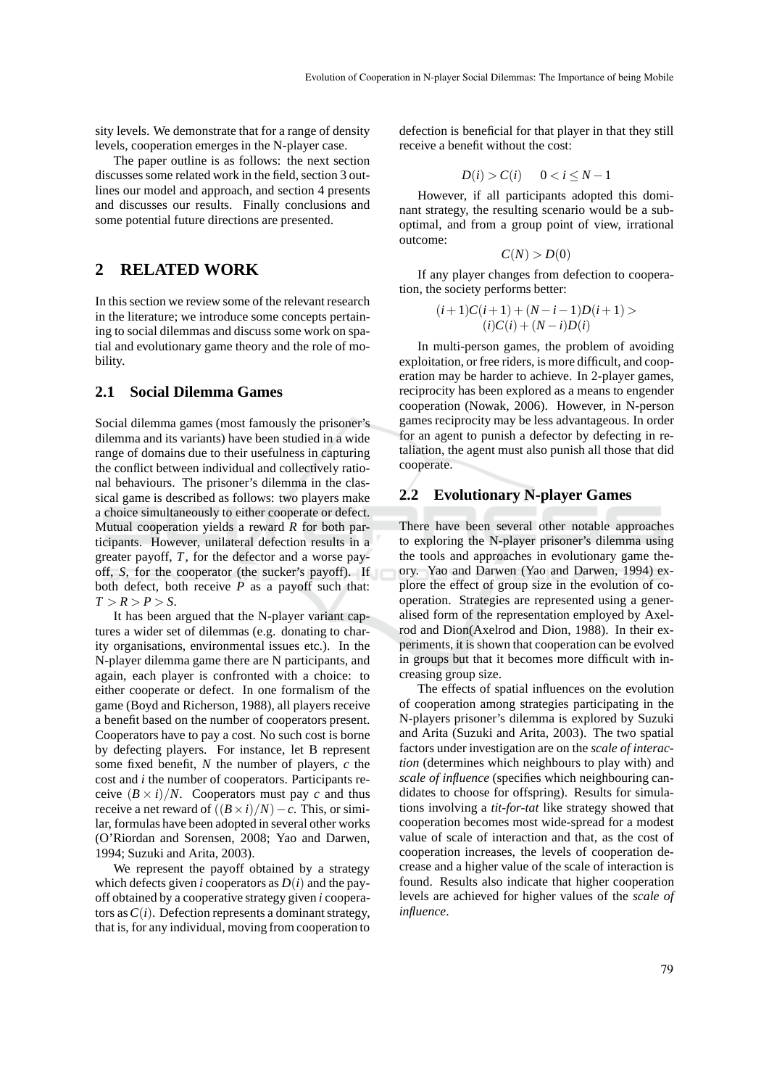sity levels. We demonstrate that for a range of density levels, cooperation emerges in the N-player case.

The paper outline is as follows: the next section discusses some related work in the field, section 3 outlines our model and approach, and section 4 presents and discusses our results. Finally conclusions and some potential future directions are presented.

## **2 RELATED WORK**

In this section we review some of the relevant research in the literature; we introduce some concepts pertaining to social dilemmas and discuss some work on spatial and evolutionary game theory and the role of mobility.

## **2.1 Social Dilemma Games**

Social dilemma games (most famously the prisoner's dilemma and its variants) have been studied in a wide range of domains due to their usefulness in capturing the conflict between individual and collectively rational behaviours. The prisoner's dilemma in the classical game is described as follows: two players make a choice simultaneously to either cooperate or defect. Mutual cooperation yields a reward *R* for both participants. However, unilateral defection results in a greater payoff, *T*, for the defector and a worse payoff, *S*, for the cooperator (the sucker's payoff). If both defect, both receive  $P$  as a payoff such that:  $T > R > P > S$ .

It has been argued that the N-player variant captures a wider set of dilemmas (e.g. donating to charity organisations, environmental issues etc.). In the N-player dilemma game there are N participants, and again, each player is confronted with a choice: to either cooperate or defect. In one formalism of the game (Boyd and Richerson, 1988), all players receive a benefit based on the number of cooperators present. Cooperators have to pay a cost. No such cost is borne by defecting players. For instance, let B represent some fixed benefit, *N* the number of players, *c* the cost and *i* the number of cooperators. Participants receive  $(B \times i)/N$ . Cooperators must pay *c* and thus receive a net reward of  $((B \times i)/N) - c$ . This, or similar, formulas have been adopted in several other works (O'Riordan and Sorensen, 2008; Yao and Darwen, 1994; Suzuki and Arita, 2003).

We represent the payoff obtained by a strategy which defects given *i* cooperators as  $D(i)$  and the payoff obtained by a cooperative strategy given *i* cooperators as  $C(i)$ . Defection represents a dominant strategy, that is, for any individual, moving from cooperation to defection is beneficial for that player in that they still receive a benefit without the cost:

$$
D(i) > C(i) \qquad 0 < i \le N - 1
$$

However, if all participants adopted this dominant strategy, the resulting scenario would be a suboptimal, and from a group point of view, irrational outcome:

$$
C(N) > D(0)
$$

If any player changes from defection to cooperation, the society performs better:

$$
(i+1)C(i+1) + (N-i-1)D(i+1) > (i)C(i) + (N-i)D(i)
$$

In multi-person games, the problem of avoiding exploitation, or free riders, is more difficult, and cooperation may be harder to achieve. In 2-player games, reciprocity has been explored as a means to engender cooperation (Nowak, 2006). However, in N-person games reciprocity may be less advantageous. In order for an agent to punish a defector by defecting in retaliation, the agent must also punish all those that did cooperate.

## **2.2 Evolutionary N-player Games**

There have been several other notable approaches to exploring the N-player prisoner's dilemma using the tools and approaches in evolutionary game theory. Yao and Darwen (Yao and Darwen, 1994) explore the effect of group size in the evolution of cooperation. Strategies are represented using a generalised form of the representation employed by Axelrod and Dion(Axelrod and Dion, 1988). In their experiments, it is shown that cooperation can be evolved in groups but that it becomes more difficult with increasing group size.

The effects of spatial influences on the evolution of cooperation among strategies participating in the N-players prisoner's dilemma is explored by Suzuki and Arita (Suzuki and Arita, 2003). The two spatial factors under investigation are on the *scale of interaction* (determines which neighbours to play with) and *scale of influence* (specifies which neighbouring candidates to choose for offspring). Results for simulations involving a *tit-for-tat* like strategy showed that cooperation becomes most wide-spread for a modest value of scale of interaction and that, as the cost of cooperation increases, the levels of cooperation decrease and a higher value of the scale of interaction is found. Results also indicate that higher cooperation levels are achieved for higher values of the *scale of influence*.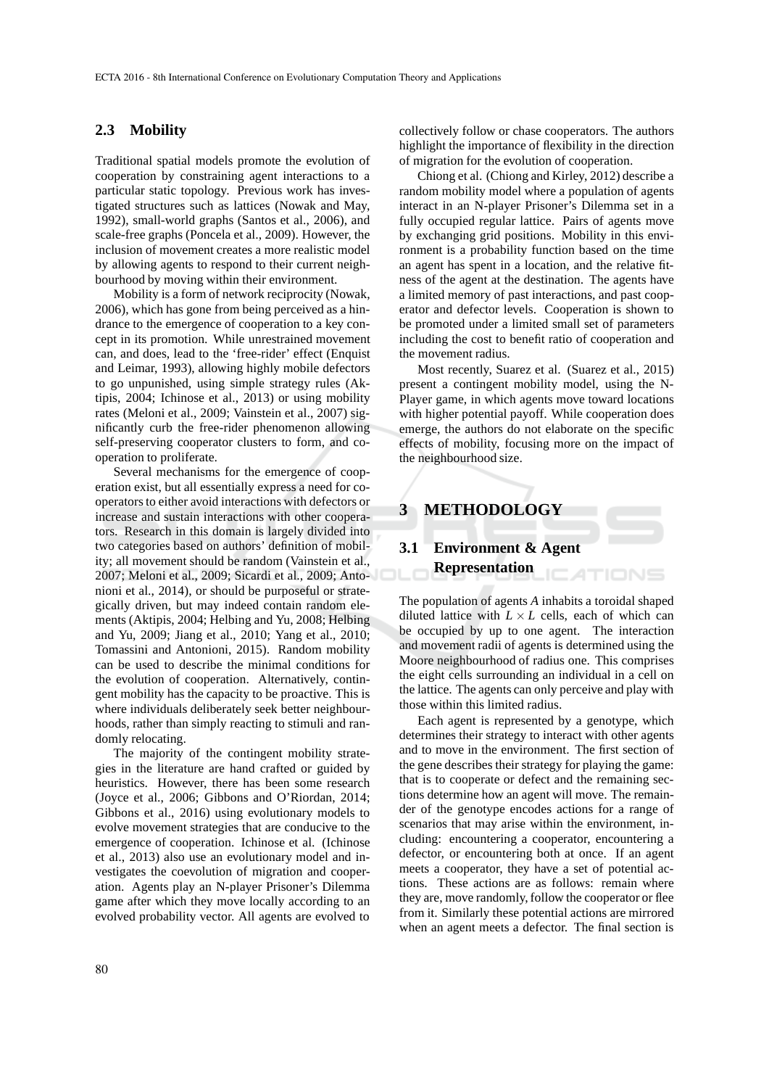### **2.3 Mobility**

Traditional spatial models promote the evolution of cooperation by constraining agent interactions to a particular static topology. Previous work has investigated structures such as lattices (Nowak and May, 1992), small-world graphs (Santos et al., 2006), and scale-free graphs (Poncela et al., 2009). However, the inclusion of movement creates a more realistic model by allowing agents to respond to their current neighbourhood by moving within their environment.

Mobility is a form of network reciprocity (Nowak, 2006), which has gone from being perceived as a hindrance to the emergence of cooperation to a key concept in its promotion. While unrestrained movement can, and does, lead to the 'free-rider' effect (Enquist and Leimar, 1993), allowing highly mobile defectors to go unpunished, using simple strategy rules (Aktipis, 2004; Ichinose et al., 2013) or using mobility rates (Meloni et al., 2009; Vainstein et al., 2007) significantly curb the free-rider phenomenon allowing self-preserving cooperator clusters to form, and cooperation to proliferate.

Several mechanisms for the emergence of cooperation exist, but all essentially express a need for cooperators to either avoid interactions with defectors or increase and sustain interactions with other cooperators. Research in this domain is largely divided into two categories based on authors' definition of mobility; all movement should be random (Vainstein et al., 2007; Meloni et al., 2009; Sicardi et al., 2009; Antonioni et al., 2014), or should be purposeful or strategically driven, but may indeed contain random elements (Aktipis, 2004; Helbing and Yu, 2008; Helbing and Yu, 2009; Jiang et al., 2010; Yang et al., 2010; Tomassini and Antonioni, 2015). Random mobility can be used to describe the minimal conditions for the evolution of cooperation. Alternatively, contingent mobility has the capacity to be proactive. This is where individuals deliberately seek better neighbourhoods, rather than simply reacting to stimuli and randomly relocating.

The majority of the contingent mobility strategies in the literature are hand crafted or guided by heuristics. However, there has been some research (Joyce et al., 2006; Gibbons and O'Riordan, 2014; Gibbons et al., 2016) using evolutionary models to evolve movement strategies that are conducive to the emergence of cooperation. Ichinose et al. (Ichinose et al., 2013) also use an evolutionary model and investigates the coevolution of migration and cooperation. Agents play an N-player Prisoner's Dilemma game after which they move locally according to an evolved probability vector. All agents are evolved to

collectively follow or chase cooperators. The authors highlight the importance of flexibility in the direction of migration for the evolution of cooperation.

Chiong et al. (Chiong and Kirley, 2012) describe a random mobility model where a population of agents interact in an N-player Prisoner's Dilemma set in a fully occupied regular lattice. Pairs of agents move by exchanging grid positions. Mobility in this environment is a probability function based on the time an agent has spent in a location, and the relative fitness of the agent at the destination. The agents have a limited memory of past interactions, and past cooperator and defector levels. Cooperation is shown to be promoted under a limited small set of parameters including the cost to benefit ratio of cooperation and the movement radius.

Most recently, Suarez et al. (Suarez et al., 2015) present a contingent mobility model, using the N-Player game, in which agents move toward locations with higher potential payoff. While cooperation does emerge, the authors do not elaborate on the specific effects of mobility, focusing more on the impact of the neighbourhood size.



The population of agents *A* inhabits a toroidal shaped diluted lattice with  $L \times L$  cells, each of which can be occupied by up to one agent. The interaction and movement radii of agents is determined using the Moore neighbourhood of radius one. This comprises the eight cells surrounding an individual in a cell on the lattice. The agents can only perceive and play with those within this limited radius.

Each agent is represented by a genotype, which determines their strategy to interact with other agents and to move in the environment. The first section of the gene describes their strategy for playing the game: that is to cooperate or defect and the remaining sections determine how an agent will move. The remainder of the genotype encodes actions for a range of scenarios that may arise within the environment, including: encountering a cooperator, encountering a defector, or encountering both at once. If an agent meets a cooperator, they have a set of potential actions. These actions are as follows: remain where they are, move randomly, follow the cooperator or flee from it. Similarly these potential actions are mirrored when an agent meets a defector. The final section is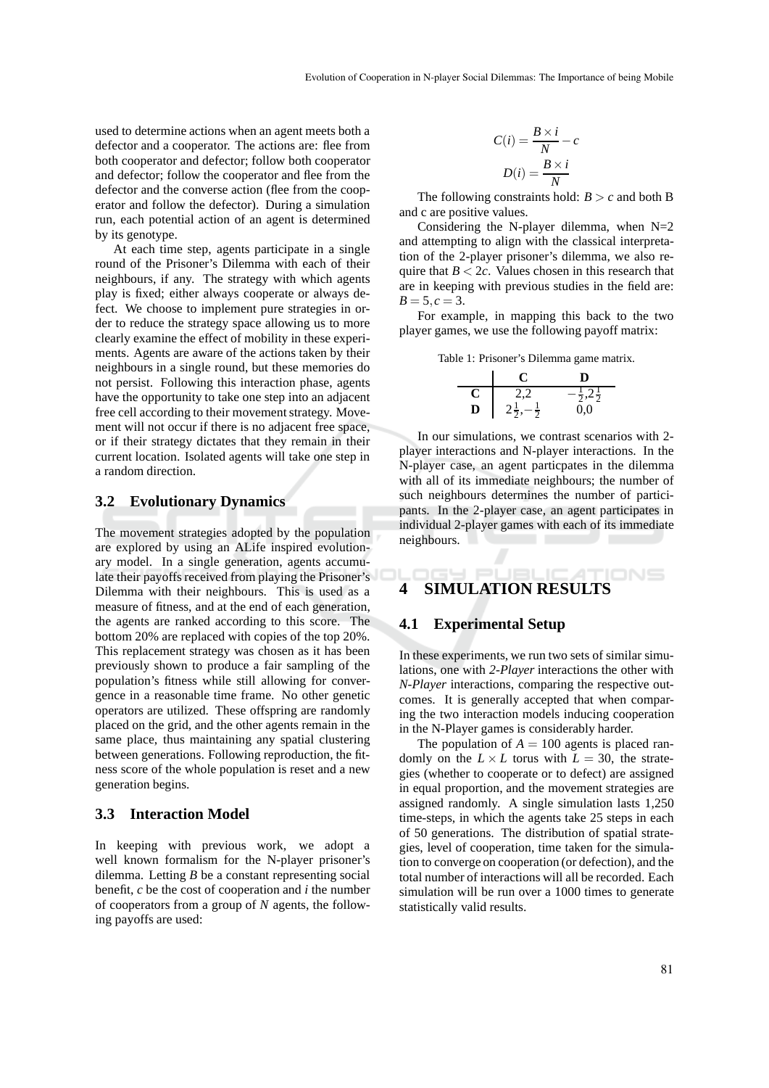used to determine actions when an agent meets both a defector and a cooperator. The actions are: flee from both cooperator and defector; follow both cooperator and defector; follow the cooperator and flee from the defector and the converse action (flee from the cooperator and follow the defector). During a simulation run, each potential action of an agent is determined by its genotype.

At each time step, agents participate in a single round of the Prisoner's Dilemma with each of their neighbours, if any. The strategy with which agents play is fixed; either always cooperate or always defect. We choose to implement pure strategies in order to reduce the strategy space allowing us to more clearly examine the effect of mobility in these experiments. Agents are aware of the actions taken by their neighbours in a single round, but these memories do not persist. Following this interaction phase, agents have the opportunity to take one step into an adjacent free cell according to their movement strategy. Movement will not occur if there is no adjacent free space, or if their strategy dictates that they remain in their current location. Isolated agents will take one step in a random direction.

## **3.2 Evolutionary Dynamics**

The movement strategies adopted by the population are explored by using an ALife inspired evolutionary model. In a single generation, agents accumulate their payoffs received from playing the Prisoner's Dilemma with their neighbours. This is used as a measure of fitness, and at the end of each generation, the agents are ranked according to this score. The bottom 20% are replaced with copies of the top 20%. This replacement strategy was chosen as it has been previously shown to produce a fair sampling of the population's fitness while still allowing for convergence in a reasonable time frame. No other genetic operators are utilized. These offspring are randomly placed on the grid, and the other agents remain in the same place, thus maintaining any spatial clustering between generations. Following reproduction, the fitness score of the whole population is reset and a new generation begins.

## **3.3 Interaction Model**

In keeping with previous work, we adopt a well known formalism for the N-player prisoner's dilemma. Letting *B* be a constant representing social benefit, *c* be the cost of cooperation and *i* the number of cooperators from a group of *N* agents, the following payoffs are used:

$$
C(i) = \frac{B \times i}{N} - c
$$

$$
D(i) = \frac{B \times i}{N}
$$

The following constraints hold:  $B > c$  and both B and c are positive values.

Considering the N-player dilemma, when  $N=2$ and attempting to align with the classical interpretation of the 2-player prisoner's dilemma, we also require that  $B < 2c$ . Values chosen in this research that are in keeping with previous studies in the field are:  $B = 5, c = 3.$ 

For example, in mapping this back to the two player games, we use the following payoff matrix:

Table 1: Prisoner's Dilemma game matrix.

| D | フク<br>$\gamma$ = | $-\frac{1}{2}$ , $2\frac{1}{2}$<br>0.0 |
|---|------------------|----------------------------------------|

In our simulations, we contrast scenarios with 2 player interactions and N-player interactions. In the N-player case, an agent particpates in the dilemma with all of its immediate neighbours; the number of such neighbours determines the number of participants. In the 2-player case, an agent participates in individual 2-player games with each of its immediate neighbours.

#### IONS **4 SIMULATION RESULTS**

#### **4.1 Experimental Setup**

In these experiments, we run two sets of similar simulations, one with *2-Player* interactions the other with *N-Player* interactions, comparing the respective outcomes. It is generally accepted that when comparing the two interaction models inducing cooperation in the N-Player games is considerably harder.

The population of  $A = 100$  agents is placed randomly on the  $L \times L$  torus with  $L = 30$ , the strategies (whether to cooperate or to defect) are assigned in equal proportion, and the movement strategies are assigned randomly. A single simulation lasts 1,250 time-steps, in which the agents take 25 steps in each of 50 generations. The distribution of spatial strategies, level of cooperation, time taken for the simulation to converge on cooperation (or defection), and the total number of interactions will all be recorded. Each simulation will be run over a 1000 times to generate statistically valid results.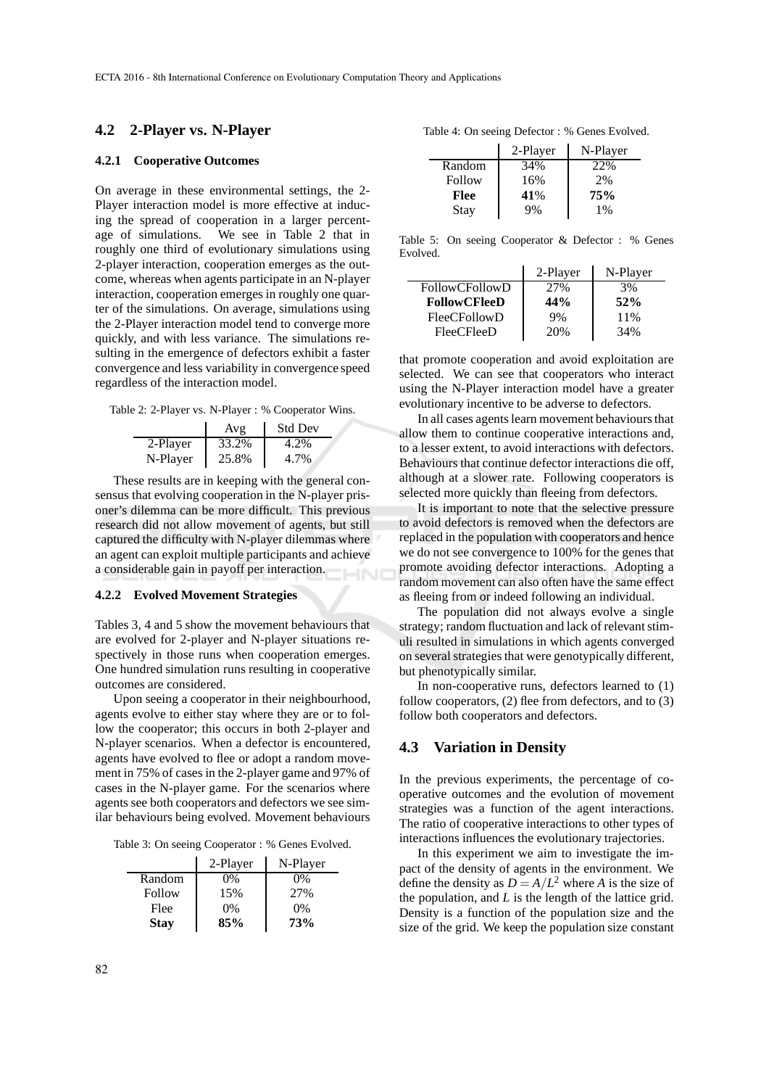#### **4.2 2-Player vs. N-Player**

#### **4.2.1 Cooperative Outcomes**

On average in these environmental settings, the 2- Player interaction model is more effective at inducing the spread of cooperation in a larger percentage of simulations. We see in Table 2 that in roughly one third of evolutionary simulations using 2-player interaction, cooperation emerges as the outcome, whereas when agents participate in an N-player interaction, cooperation emerges in roughly one quarter of the simulations. On average, simulations using the 2-Player interaction model tend to converge more quickly, and with less variance. The simulations resulting in the emergence of defectors exhibit a faster convergence and less variability in convergence speed regardless of the interaction model.

Table 2: 2-Player vs. N-Player : % Cooperator Wins.

|          | Avg   | <b>Std Dev</b> |
|----------|-------|----------------|
| 2-Player | 33.2% | 4.2%           |
| N-Player | 25.8% | 4.7%           |

These results are in keeping with the general consensus that evolving cooperation in the N-player prisoner's dilemma can be more difficult. This previous research did not allow movement of agents, but still captured the difficulty with N-player dilemmas where an agent can exploit multiple participants and achieve a considerable gain in payoff per interaction. HNC

#### **4.2.2 Evolved Movement Strategies**

Tables 3, 4 and 5 show the movement behaviours that are evolved for 2-player and N-player situations respectively in those runs when cooperation emerges. One hundred simulation runs resulting in cooperative outcomes are considered.

Upon seeing a cooperator in their neighbourhood, agents evolve to either stay where they are or to follow the cooperator; this occurs in both 2-player and N-player scenarios. When a defector is encountered, agents have evolved to flee or adopt a random movement in 75% of cases in the 2-player game and 97% of cases in the N-player game. For the scenarios where agents see both cooperators and defectors we see similar behaviours being evolved. Movement behaviours

Table 3: On seeing Cooperator : % Genes Evolved.

|             | 2-Player | N-Player |
|-------------|----------|----------|
| Random      | $0\%$    | $0\%$    |
| Follow      | 15%      | 2.7%     |
| Flee        | 0%       | 0%       |
| <b>Stay</b> | 85%      | 73%      |

Table 4: On seeing Defector : % Genes Evolved.

|        | 2-Player | N-Player |
|--------|----------|----------|
| Random | 34%      | 22%      |
| Follow | 16%      | 2%       |
| Flee   | 41%      | 75%      |
| Stay   | 9%       | $1\%$    |

Table 5: On seeing Cooperator & Defector : % Genes Evolved.

|                     | 2-Player | N-Player |
|---------------------|----------|----------|
| FollowCFollowD      | 27%      | 3%       |
| <b>FollowCFleeD</b> | 44%      | 52%      |
| FleeCFollowD        | 9%       | 11%      |
| FleeCFleeD          | 20%      | 34%      |

that promote cooperation and avoid exploitation are selected. We can see that cooperators who interact using the N-Player interaction model have a greater evolutionary incentive to be adverse to defectors.

In all cases agents learn movement behaviours that allow them to continue cooperative interactions and, to a lesser extent, to avoid interactions with defectors. Behaviours that continue defector interactions die off, although at a slower rate. Following cooperators is selected more quickly than fleeing from defectors.

It is important to note that the selective pressure to avoid defectors is removed when the defectors are replaced in the population with cooperators and hence we do not see convergence to 100% for the genes that promote avoiding defector interactions. Adopting a random movement can also often have the same effect as fleeing from or indeed following an individual.

The population did not always evolve a single strategy; random fluctuation and lack of relevant stimuli resulted in simulations in which agents converged on several strategies that were genotypically different, but phenotypically similar.

In non-cooperative runs, defectors learned to (1) follow cooperators, (2) flee from defectors, and to (3) follow both cooperators and defectors.

#### **4.3 Variation in Density**

In the previous experiments, the percentage of cooperative outcomes and the evolution of movement strategies was a function of the agent interactions. The ratio of cooperative interactions to other types of interactions influences the evolutionary trajectories.

In this experiment we aim to investigate the impact of the density of agents in the environment. We define the density as  $D = A/L^2$  where *A* is the size of the population, and *L* is the length of the lattice grid. Density is a function of the population size and the size of the grid. We keep the population size constant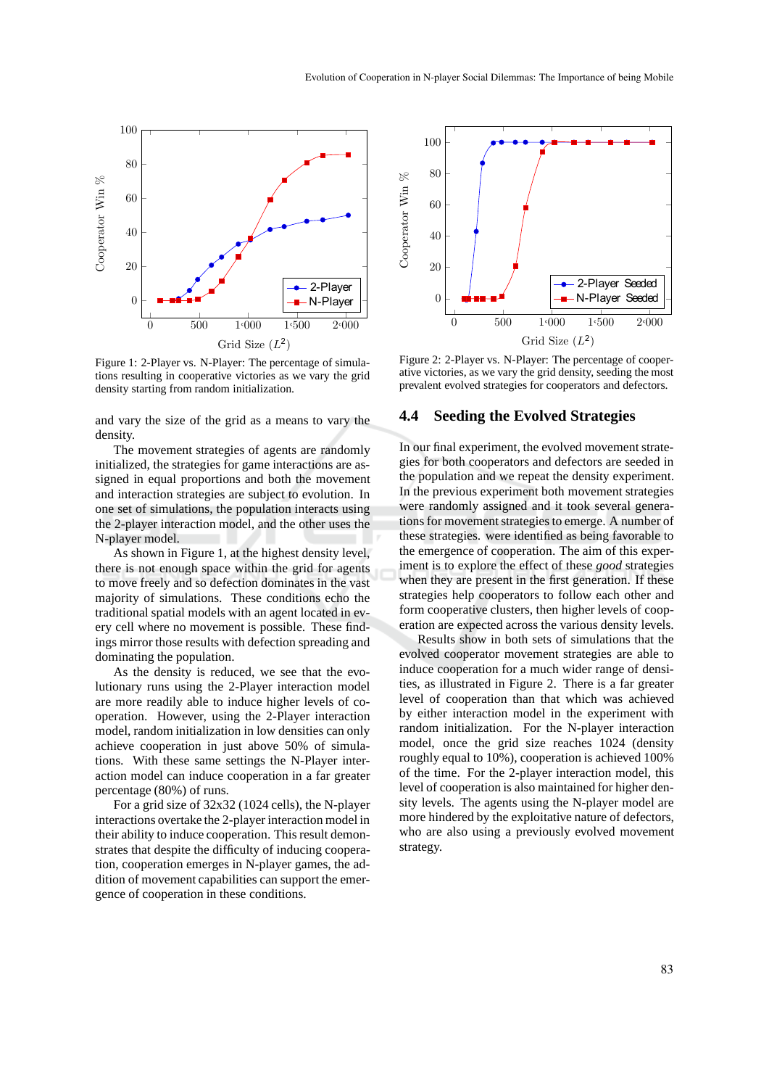

Figure 1: 2-Player vs. N-Player: The percentage of simulations resulting in cooperative victories as we vary the grid density starting from random initialization.

and vary the size of the grid as a means to vary the density.

The movement strategies of agents are randomly initialized, the strategies for game interactions are assigned in equal proportions and both the movement and interaction strategies are subject to evolution. In one set of simulations, the population interacts using the 2-player interaction model, and the other uses the N-player model.

As shown in Figure 1, at the highest density level, there is not enough space within the grid for agents to move freely and so defection dominates in the vast majority of simulations. These conditions echo the traditional spatial models with an agent located in every cell where no movement is possible. These findings mirror those results with defection spreading and dominating the population.

As the density is reduced, we see that the evolutionary runs using the 2-Player interaction model are more readily able to induce higher levels of cooperation. However, using the 2-Player interaction model, random initialization in low densities can only achieve cooperation in just above 50% of simulations. With these same settings the N-Player interaction model can induce cooperation in a far greater percentage (80%) of runs.

For a grid size of 32x32 (1024 cells), the N-player interactions overtake the 2-player interaction model in their ability to induce cooperation. This result demonstrates that despite the difficulty of inducing cooperation, cooperation emerges in N-player games, the addition of movement capabilities can support the emergence of cooperation in these conditions.



Figure 2: 2-Player vs. N-Player: The percentage of cooperative victories, as we vary the grid density, seeding the most prevalent evolved strategies for cooperators and defectors.

#### **4.4 Seeding the Evolved Strategies**

In our final experiment, the evolved movement strategies for both cooperators and defectors are seeded in the population and we repeat the density experiment. In the previous experiment both movement strategies were randomly assigned and it took several generations for movement strategies to emerge. A number of these strategies. were identified as being favorable to the emergence of cooperation. The aim of this experiment is to explore the effect of these *good* strategies when they are present in the first generation. If these strategies help cooperators to follow each other and form cooperative clusters, then higher levels of cooperation are expected across the various density levels.

Results show in both sets of simulations that the evolved cooperator movement strategies are able to induce cooperation for a much wider range of densities, as illustrated in Figure 2. There is a far greater level of cooperation than that which was achieved by either interaction model in the experiment with random initialization. For the N-player interaction model, once the grid size reaches 1024 (density roughly equal to 10%), cooperation is achieved 100% of the time. For the 2-player interaction model, this level of cooperation is also maintained for higher density levels. The agents using the N-player model are more hindered by the exploitative nature of defectors, who are also using a previously evolved movement strategy.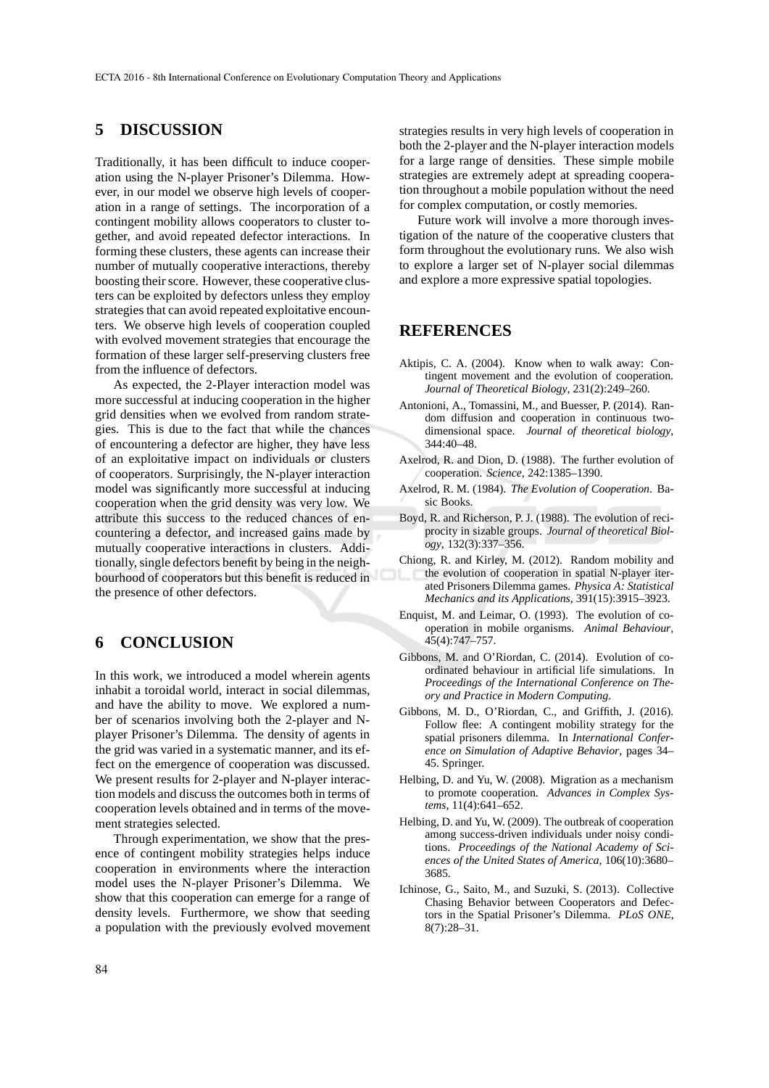## **5 DISCUSSION**

Traditionally, it has been difficult to induce cooperation using the N-player Prisoner's Dilemma. However, in our model we observe high levels of cooperation in a range of settings. The incorporation of a contingent mobility allows cooperators to cluster together, and avoid repeated defector interactions. In forming these clusters, these agents can increase their number of mutually cooperative interactions, thereby boosting their score. However, these cooperative clusters can be exploited by defectors unless they employ strategies that can avoid repeated exploitative encounters. We observe high levels of cooperation coupled with evolved movement strategies that encourage the formation of these larger self-preserving clusters free from the influence of defectors.

As expected, the 2-Player interaction model was more successful at inducing cooperation in the higher grid densities when we evolved from random strategies. This is due to the fact that while the chances of encountering a defector are higher, they have less of an exploitative impact on individuals or clusters of cooperators. Surprisingly, the N-player interaction model was significantly more successful at inducing cooperation when the grid density was very low. We attribute this success to the reduced chances of encountering a defector, and increased gains made by mutually cooperative interactions in clusters. Additionally, single defectors benefit by being in the neighbourhood of cooperators but this benefit is reduced in the presence of other defectors.

## **6 CONCLUSION**

In this work, we introduced a model wherein agents inhabit a toroidal world, interact in social dilemmas, and have the ability to move. We explored a number of scenarios involving both the 2-player and Nplayer Prisoner's Dilemma. The density of agents in the grid was varied in a systematic manner, and its effect on the emergence of cooperation was discussed. We present results for 2-player and N-player interaction models and discuss the outcomes both in terms of cooperation levels obtained and in terms of the movement strategies selected.

Through experimentation, we show that the presence of contingent mobility strategies helps induce cooperation in environments where the interaction model uses the N-player Prisoner's Dilemma. We show that this cooperation can emerge for a range of density levels. Furthermore, we show that seeding a population with the previously evolved movement strategies results in very high levels of cooperation in both the 2-player and the N-player interaction models for a large range of densities. These simple mobile strategies are extremely adept at spreading cooperation throughout a mobile population without the need for complex computation, or costly memories.

Future work will involve a more thorough investigation of the nature of the cooperative clusters that form throughout the evolutionary runs. We also wish to explore a larger set of N-player social dilemmas and explore a more expressive spatial topologies.

## **REFERENCES**

- Aktipis, C. A. (2004). Know when to walk away: Contingent movement and the evolution of cooperation. *Journal of Theoretical Biology*, 231(2):249–260.
- Antonioni, A., Tomassini, M., and Buesser, P. (2014). Random diffusion and cooperation in continuous twodimensional space. *Journal of theoretical biology*, 344:40–48.
- Axelrod, R. and Dion, D. (1988). The further evolution of cooperation. *Science*, 242:1385–1390.
- Axelrod, R. M. (1984). *The Evolution of Cooperation*. Basic Books.
- Boyd, R. and Richerson, P. J. (1988). The evolution of reciprocity in sizable groups. *Journal of theoretical Biology*, 132(3):337–356.
- Chiong, R. and Kirley, M. (2012). Random mobility and the evolution of cooperation in spatial N-player iterated Prisoners Dilemma games. *Physica A: Statistical Mechanics and its Applications*, 391(15):3915–3923.
- Enquist, M. and Leimar, O. (1993). The evolution of cooperation in mobile organisms. *Animal Behaviour*, 45(4):747–757.
- Gibbons, M. and O'Riordan, C. (2014). Evolution of coordinated behaviour in artificial life simulations. In *Proceedings of the International Conference on Theory and Practice in Modern Computing*.
- Gibbons, M. D., O'Riordan, C., and Griffith, J. (2016). Follow flee: A contingent mobility strategy for the spatial prisoners dilemma. In *International Conference on Simulation of Adaptive Behavior*, pages 34– 45. Springer.
- Helbing, D. and Yu, W. (2008). Migration as a mechanism to promote cooperation. *Advances in Complex Systems*, 11(4):641–652.
- Helbing, D. and Yu, W. (2009). The outbreak of cooperation among success-driven individuals under noisy conditions. *Proceedings of the National Academy of Sciences of the United States of America*, 106(10):3680– 3685.
- Ichinose, G., Saito, M., and Suzuki, S. (2013). Collective Chasing Behavior between Cooperators and Defectors in the Spatial Prisoner's Dilemma. *PLoS ONE*, 8(7):28–31.